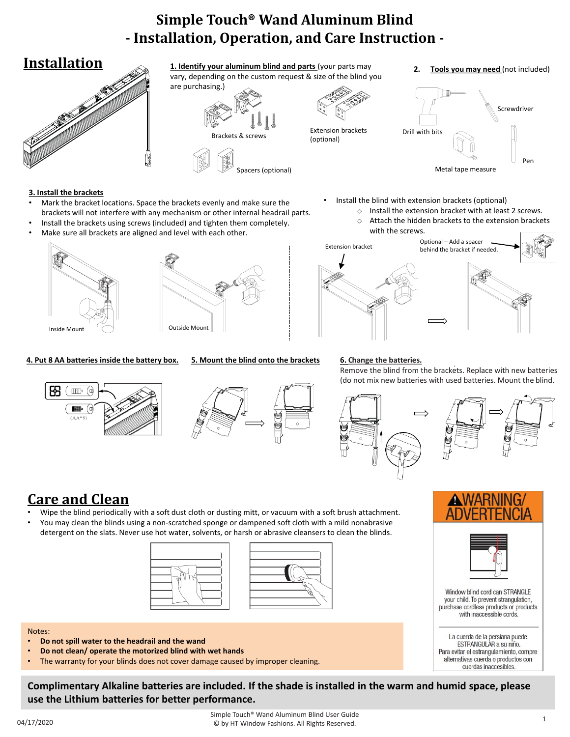# **Simple Touch® Wand Aluminum Blind - Installation, Operation, and Care Instruction -**



#### **3. Install the brackets**

- Mark the bracket locations. Space the brackets evenly and make sure the brackets will not interfere with any mechanism or other internal headrail parts.
- Install the brackets using screws (included) and tighten them completely.
- Make sure all brackets are aligned and level with each other.





#### **4. Put 8 AA batteries inside the battery box. 5. Mount the blind onto the brackets 6. Change the batteries.**





Install the blind with extension brackets (optional)

- o Install the extension bracket with at least 2 screws.
- o Attach the hidden brackets to the extension brackets with the screws.



Remove the blind from the brackets. Replace with new batteries (do not mix new batteries with used batteries. Mount the blind.



Window blind cord can STRANGLE your child. To prevent strangulation, purchase cordless products or products with inaccessible cords.

La cuerda de la persiana puede ESTRANGULAR a su niño. Para evitar el estrangulamiento, compre alternativas cuerda o productos con cuerdas inaccesibles

# **Care and Clean**

- Wipe the blind periodically with a soft dust cloth or dusting mitt, or vacuum with a soft brush attachment.
- You may clean the blinds using a non-scratched sponge or dampened soft cloth with a mild nonabrasive detergent on the slats. Never use hot water, solvents, or harsh or abrasive cleansers to clean the blinds.





#### Notes:

- **Do not spill water to the headrail and the wand**
- **Do not clean/ operate the motorized blind with wet hands**
- The warranty for your blinds does not cover damage caused by improper cleaning.

**Complimentary Alkaline batteries are included. If the shade is installed in the warm and humid space, please use the Lithium batteries for better performance.**